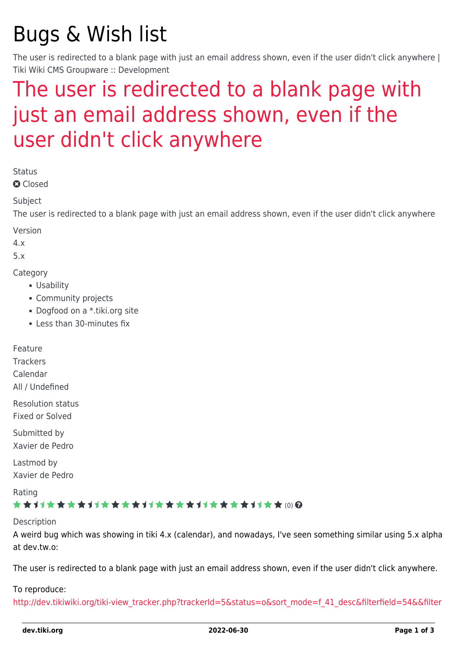# Bugs & Wish list

The user is redirected to a blank page with just an email address shown, even if the user didn't click anywhere | Tiki Wiki CMS Groupware :: Development

## [The user is redirected to a blank page with](https://dev.tiki.org/item3098-The-user-is-redirected-to-a-blank-page-with-just-an-email-address-shown-even-if-the-user-didn-t-click-anywhere) [just an email address shown, even if the](https://dev.tiki.org/item3098-The-user-is-redirected-to-a-blank-page-with-just-an-email-address-shown-even-if-the-user-didn-t-click-anywhere) [user didn't click anywhere](https://dev.tiki.org/item3098-The-user-is-redirected-to-a-blank-page-with-just-an-email-address-shown-even-if-the-user-didn-t-click-anywhere)

Status

**Q** Closed

Subject

The user is redirected to a blank page with just an email address shown, even if the user didn't click anywhere

Version

4.x

5.x

**Category** 

- Usability
- Community projects
- Dogfood on a \*.tiki.org site
- Less than 30-minutes fix

Feature

**Trackers** 

Calendar

All / Undefined

Resolution status

Fixed or Solved

Submitted by Xavier de Pedro

Lastmod by Xavier de Pedro

Rating

#### ★★オオ★★★★オオ★★★★★★★★★★★★★★★★★★★ (0) @

#### Description

A weird bug which was showing in tiki 4.x (calendar), and nowadays, I've seen something similar using 5.x alpha at dev.tw.o:

The user is redirected to a blank page with just an email address shown, even if the user didn't click anywhere.

#### To reproduce:

[http://dev.tikiwiki.org/tiki-view\\_tracker.php?trackerId=5&status=o&sort\\_mode=f\\_41\\_desc&filterfield=54&&filter](http://dev.tikiwiki.org/tiki-view_tracker.php?trackerId=5&status=o&sort_mode=f_41_desc&filterfield=54&&filtervalue)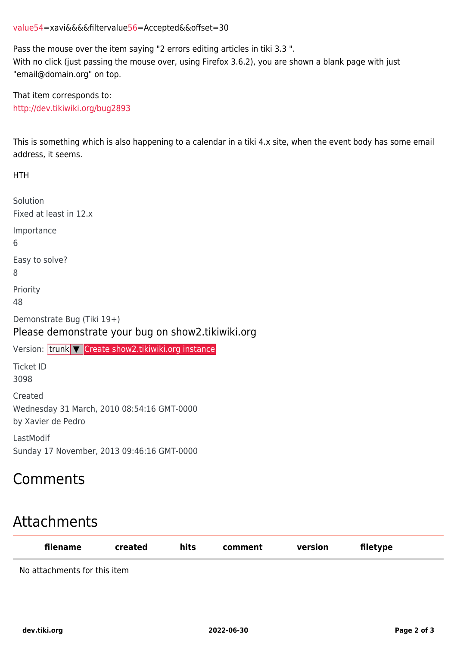#### [value](http://dev.tikiwiki.org/tiki-view_tracker.php?trackerId=5&status=o&sort_mode=f_41_desc&filterfield=54&&filtervalue)[54=](https://dev.tiki.org/54)xavi&&&&filtervalu[e56](https://dev.tiki.org/56)=Accepted&&offset=30

Pass the mouse over the item saying "2 errors editing articles in tiki 3.3 ". With no click (just passing the mouse over, using Firefox 3.6.2), you are shown a blank page with just "email@domain.org" on top.

That item corresponds to: <http://dev.tikiwiki.org/bug2893>

This is something which is also happening to a calendar in a tiki 4.x site, when the event body has some email address, it seems.

HTH Solution Fixed at least in 12.x Importance 6 Easy to solve? 8 Priority 48 Demonstrate Bug (Tiki 19+) Please demonstrate your bug on show2.tikiwiki.org Version: trunk ▼ [Create show2.tikiwiki.org instance](#page--1-0) Ticket ID 3098 Created Wednesday 31 March, 2010 08:54:16 GMT-0000 by Xavier de Pedro LastModif Sunday 17 November, 2013 09:46:16 GMT-0000

### Comments

### Attachments

| filename                     | created | hits | comment | version | filetype |
|------------------------------|---------|------|---------|---------|----------|
| No attachments for this item |         |      |         |         |          |